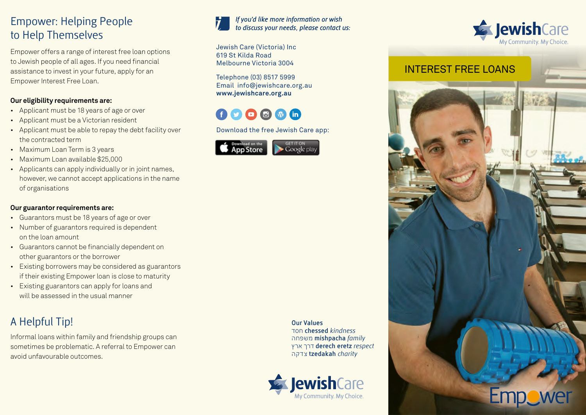## Empower: Helping People to Help Themselves

Empower offers a range of interest free loan options to Jewish people of all ages. If you need financial assistance to invest in your future, apply for an Empower Interest Free Loan.

#### **Our eligibility requirements are:**

- Applicant must be 18 years of age or over
- Applicant must be a Victorian resident
- Applicant must be able to repay the debt facility over the contracted term
- Maximum Loan Term is 3 years
- Maximum Loan available \$25,000
- Applicants can apply individually or in joint names, however, we cannot accept applications in the name of organisations

#### **Our guarantor requirements are:**

- Guarantors must be 18 years of age or over
- Number of guarantors required is dependent on the loan amount
- Guarantors cannot be financially dependent on other guarantors or the borrower
- Existing borrowers may be considered as guarantors if their existing Empower loan is close to maturity
- Existing guarantors can apply for loans and will be assessed in the usual manner

# A Helpful Tip!

Informal loans within family and friendship groups can sometimes be problematic. A referral to Empower can avoid unfavourable outcomes.



#### If you'd like more information or wish to discuss your needs, please contact us:

Jewish Care (Victoria) Inc 619 St Kilda Road Melbourne Victoria 3004

Telephone (03) 8517 5999 Email info@jewishcare.org.au **www.jewishcare.org.au**

# $O O O O$

Download the free Jewish Care app:







**Our Values** חסד **chessed** *kindness* משפחה **mishpacha** *family* ארץ דרך **derech eretz** *respect* צדקה **tzedakah** *charity*